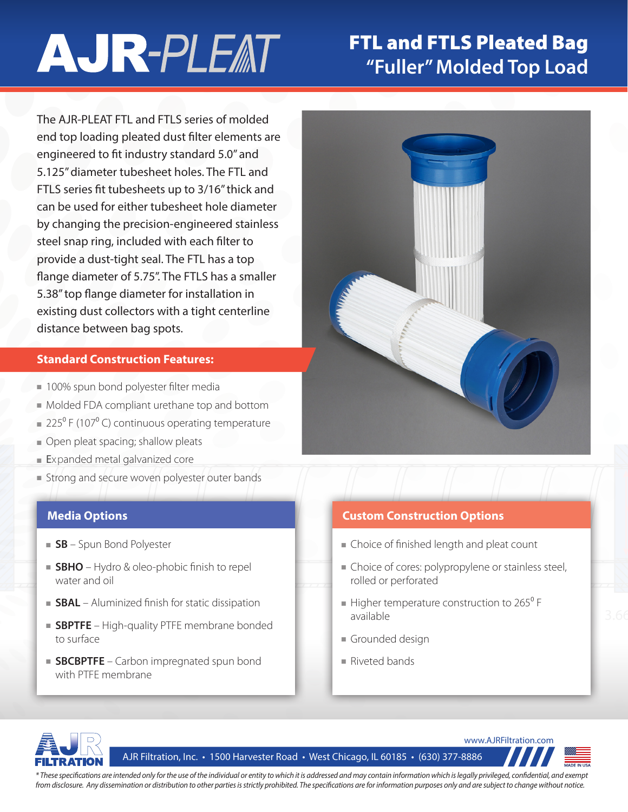# **AJR-PLEAT**

## FTL and FTLS Pleated Bag **"Fuller" Molded Top Load**

The AJR-PLEAT FTL and FTLS series of molded end top loading pleated dust filter elements are engineered to fit industry standard 5.0" and 5.125" diameter tubesheet holes. The FTL and FTLS series fit tubesheets up to 3/16" thick and can be used for either tubesheet hole diameter by changing the precision-engineered stainless steel snap ring, included with each filter to provide a dust-tight seal. The FTL has a top flange diameter of 5.75". The FTLS has a smaller 5.38" top flange diameter for installation in existing dust collectors with a tight centerline distance between bag spots.

#### **Standard Construction Features:**

- 100% spun bond polyester filter media
- Molded FDA compliant urethane top and bottom
- $= 225^{\circ}$  F (107 $^{\circ}$  C) continuous operating temperature
- Open pleat spacing; shallow pleats
- Expanded metal galvanized core
- Strong and secure woven polyester outer bands

- **SB** Spun Bond Polyester
- **SBHO** Hydro & oleo-phobic finish to repel water and oil
- **SBAL** Aluminized finish for static dissipation
- **SBPTFE** High-quality PTFE membrane bonded to surface
- **SBCBPTFE** Carbon impregnated spun bond with PTFE membrane



#### **Media Options Custom Construction Options**

- Choice of finished length and pleat count
- Choice of cores: polypropylene or stainless steel, rolled or perforated
- $\blacksquare$  Higher temperature construction to 265<sup>°</sup> F available
- Grounded design
- Riveted bands



AJR Filtration, Inc. • 1500 Harvester Road • West Chicago, IL 60185 • (630) 377-8886





*\* These specifications are intended only for the use of the individual or entity to which it is addressed and may contain information which is legally privileged, confidential, and exempt from disclosure. Any dissemination or distribution to other parties is strictly prohibited. The specifications are for information purposes only and are subject to change without notice.*